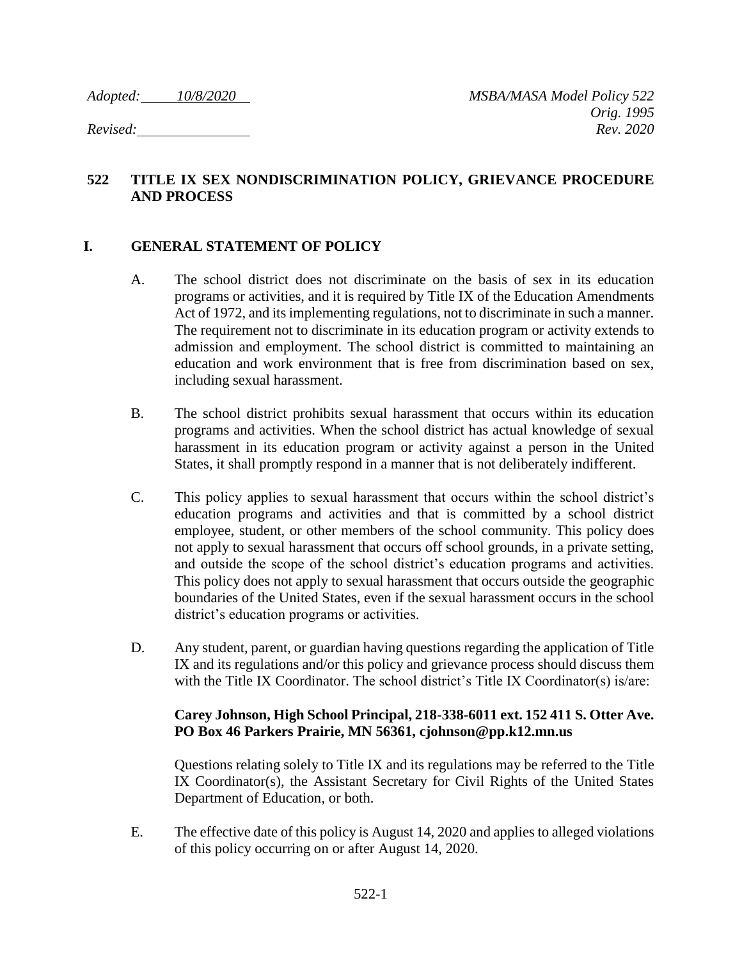### **522 TITLE IX SEX NONDISCRIMINATION POLICY, GRIEVANCE PROCEDURE AND PROCESS**

### **I. GENERAL STATEMENT OF POLICY**

- A. The school district does not discriminate on the basis of sex in its education programs or activities, and it is required by Title IX of the Education Amendments Act of 1972, and its implementing regulations, not to discriminate in such a manner. The requirement not to discriminate in its education program or activity extends to admission and employment. The school district is committed to maintaining an education and work environment that is free from discrimination based on sex, including sexual harassment.
- B. The school district prohibits sexual harassment that occurs within its education programs and activities. When the school district has actual knowledge of sexual harassment in its education program or activity against a person in the United States, it shall promptly respond in a manner that is not deliberately indifferent.
- C. This policy applies to sexual harassment that occurs within the school district's education programs and activities and that is committed by a school district employee, student, or other members of the school community. This policy does not apply to sexual harassment that occurs off school grounds, in a private setting, and outside the scope of the school district's education programs and activities. This policy does not apply to sexual harassment that occurs outside the geographic boundaries of the United States, even if the sexual harassment occurs in the school district's education programs or activities.
- D. Any student, parent, or guardian having questions regarding the application of Title IX and its regulations and/or this policy and grievance process should discuss them with the Title IX Coordinator. The school district's Title IX Coordinator(s) is/are:

#### **Carey Johnson, High School Principal, 218-338-6011 ext. 152 411 S. Otter Ave. PO Box 46 Parkers Prairie, MN 56361, cjohnson@pp.k12.mn.us**

Questions relating solely to Title IX and its regulations may be referred to the Title IX Coordinator(s), the Assistant Secretary for Civil Rights of the United States Department of Education, or both.

E. The effective date of this policy is August 14, 2020 and applies to alleged violations of this policy occurring on or after August 14, 2020.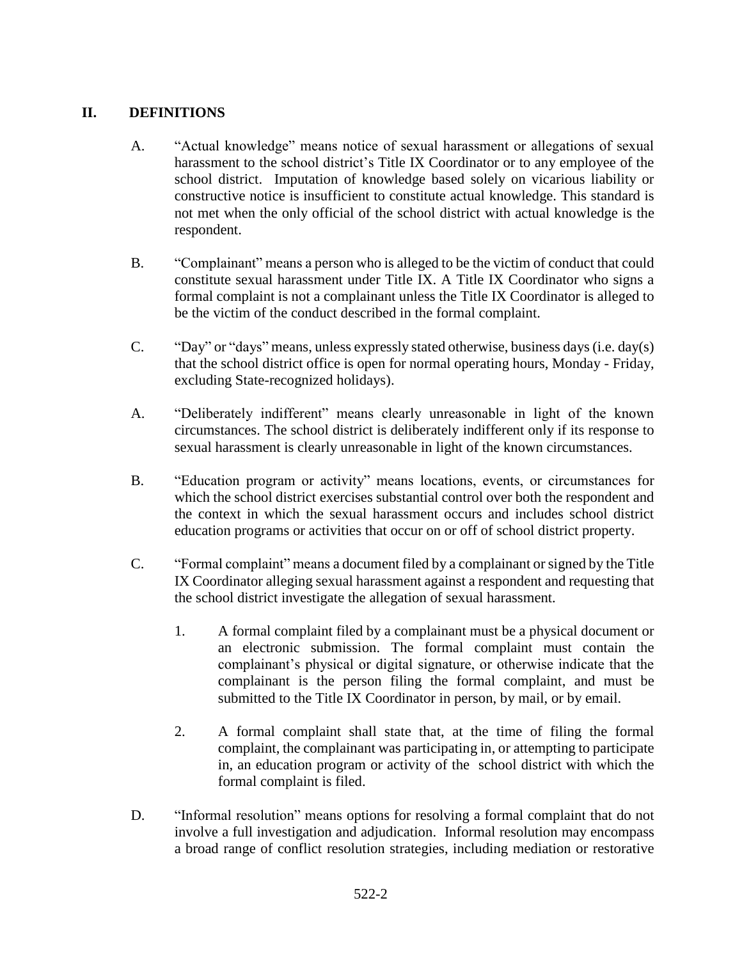# **II. DEFINITIONS**

- A. "Actual knowledge" means notice of sexual harassment or allegations of sexual harassment to the school district's Title IX Coordinator or to any employee of the school district. Imputation of knowledge based solely on vicarious liability or constructive notice is insufficient to constitute actual knowledge. This standard is not met when the only official of the school district with actual knowledge is the respondent.
- B. "Complainant" means a person who is alleged to be the victim of conduct that could constitute sexual harassment under Title IX. A Title IX Coordinator who signs a formal complaint is not a complainant unless the Title IX Coordinator is alleged to be the victim of the conduct described in the formal complaint.
- C. "Day" or "days" means, unless expressly stated otherwise, business days (i.e. day(s) that the school district office is open for normal operating hours, Monday - Friday, excluding State-recognized holidays).
- A. "Deliberately indifferent" means clearly unreasonable in light of the known circumstances. The school district is deliberately indifferent only if its response to sexual harassment is clearly unreasonable in light of the known circumstances.
- B. "Education program or activity" means locations, events, or circumstances for which the school district exercises substantial control over both the respondent and the context in which the sexual harassment occurs and includes school district education programs or activities that occur on or off of school district property.
- C. "Formal complaint" means a document filed by a complainant or signed by the Title IX Coordinator alleging sexual harassment against a respondent and requesting that the school district investigate the allegation of sexual harassment.
	- 1. A formal complaint filed by a complainant must be a physical document or an electronic submission. The formal complaint must contain the complainant's physical or digital signature, or otherwise indicate that the complainant is the person filing the formal complaint, and must be submitted to the Title IX Coordinator in person, by mail, or by email.
	- 2. A formal complaint shall state that, at the time of filing the formal complaint, the complainant was participating in, or attempting to participate in, an education program or activity of the school district with which the formal complaint is filed.
- D. "Informal resolution" means options for resolving a formal complaint that do not involve a full investigation and adjudication. Informal resolution may encompass a broad range of conflict resolution strategies, including mediation or restorative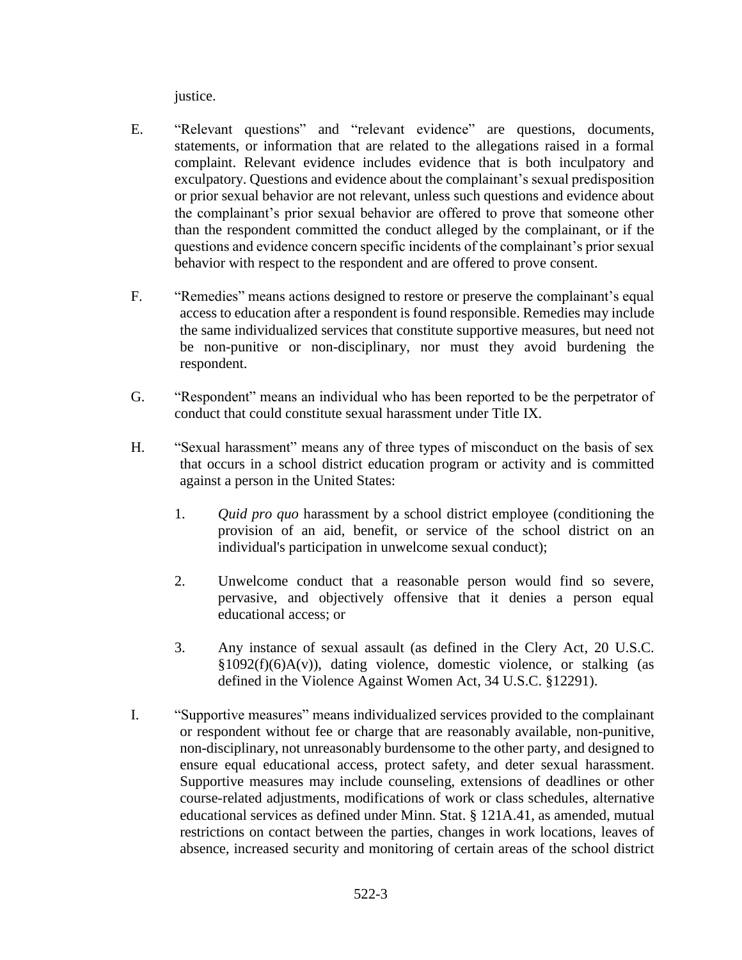justice.

- E. "Relevant questions" and "relevant evidence" are questions, documents, statements, or information that are related to the allegations raised in a formal complaint. Relevant evidence includes evidence that is both inculpatory and exculpatory. Questions and evidence about the complainant's sexual predisposition or prior sexual behavior are not relevant, unless such questions and evidence about the complainant's prior sexual behavior are offered to prove that someone other than the respondent committed the conduct alleged by the complainant, or if the questions and evidence concern specific incidents of the complainant's prior sexual behavior with respect to the respondent and are offered to prove consent.
- F. "Remedies" means actions designed to restore or preserve the complainant's equal access to education after a respondent is found responsible. Remedies may include the same individualized services that constitute supportive measures, but need not be non-punitive or non-disciplinary, nor must they avoid burdening the respondent.
- G. "Respondent" means an individual who has been reported to be the perpetrator of conduct that could constitute sexual harassment under Title IX.
- H. "Sexual harassment" means any of three types of misconduct on the basis of sex that occurs in a school district education program or activity and is committed against a person in the United States:
	- 1. *Quid pro quo* harassment by a school district employee (conditioning the provision of an aid, benefit, or service of the school district on an individual's participation in unwelcome sexual conduct);
	- 2. Unwelcome conduct that a reasonable person would find so severe, pervasive, and objectively offensive that it denies a person equal educational access; or
	- 3. Any instance of sexual assault (as defined in the Clery Act, 20 U.S.C.  $§1092(f)(6)A(v)$ , dating violence, domestic violence, or stalking (as defined in the Violence Against Women Act, 34 U.S.C. §12291).
- I. "Supportive measures" means individualized services provided to the complainant or respondent without fee or charge that are reasonably available, non-punitive, non-disciplinary, not unreasonably burdensome to the other party, and designed to ensure equal educational access, protect safety, and deter sexual harassment. Supportive measures may include counseling, extensions of deadlines or other course-related adjustments, modifications of work or class schedules, alternative educational services as defined under Minn. Stat. § 121A.41, as amended, mutual restrictions on contact between the parties, changes in work locations, leaves of absence, increased security and monitoring of certain areas of the school district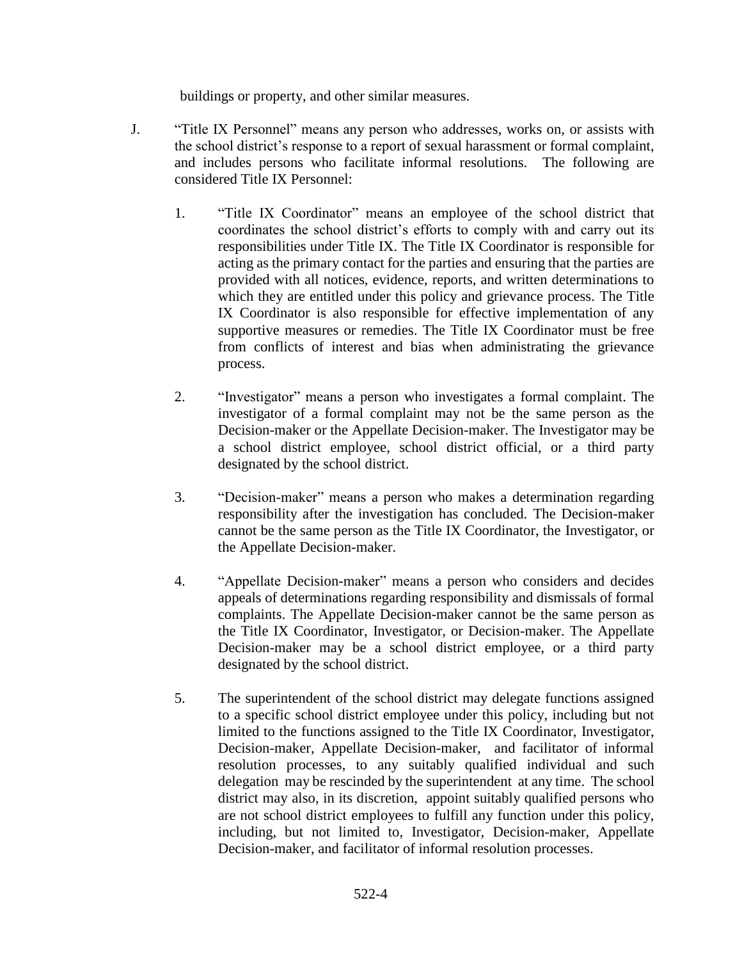buildings or property, and other similar measures.

- J. "Title IX Personnel" means any person who addresses, works on, or assists with the school district's response to a report of sexual harassment or formal complaint, and includes persons who facilitate informal resolutions. The following are considered Title IX Personnel:
	- 1. "Title IX Coordinator" means an employee of the school district that coordinates the school district's efforts to comply with and carry out its responsibilities under Title IX. The Title IX Coordinator is responsible for acting as the primary contact for the parties and ensuring that the parties are provided with all notices, evidence, reports, and written determinations to which they are entitled under this policy and grievance process. The Title IX Coordinator is also responsible for effective implementation of any supportive measures or remedies. The Title IX Coordinator must be free from conflicts of interest and bias when administrating the grievance process.
	- 2. "Investigator" means a person who investigates a formal complaint. The investigator of a formal complaint may not be the same person as the Decision-maker or the Appellate Decision-maker. The Investigator may be a school district employee, school district official, or a third party designated by the school district.
	- 3. "Decision-maker" means a person who makes a determination regarding responsibility after the investigation has concluded. The Decision-maker cannot be the same person as the Title IX Coordinator, the Investigator, or the Appellate Decision-maker.
	- 4. "Appellate Decision-maker" means a person who considers and decides appeals of determinations regarding responsibility and dismissals of formal complaints. The Appellate Decision-maker cannot be the same person as the Title IX Coordinator, Investigator, or Decision-maker. The Appellate Decision-maker may be a school district employee, or a third party designated by the school district.
	- 5. The superintendent of the school district may delegate functions assigned to a specific school district employee under this policy, including but not limited to the functions assigned to the Title IX Coordinator, Investigator, Decision-maker, Appellate Decision-maker, and facilitator of informal resolution processes, to any suitably qualified individual and such delegation may be rescinded by the superintendent at any time. The school district may also, in its discretion, appoint suitably qualified persons who are not school district employees to fulfill any function under this policy, including, but not limited to, Investigator, Decision-maker, Appellate Decision-maker, and facilitator of informal resolution processes.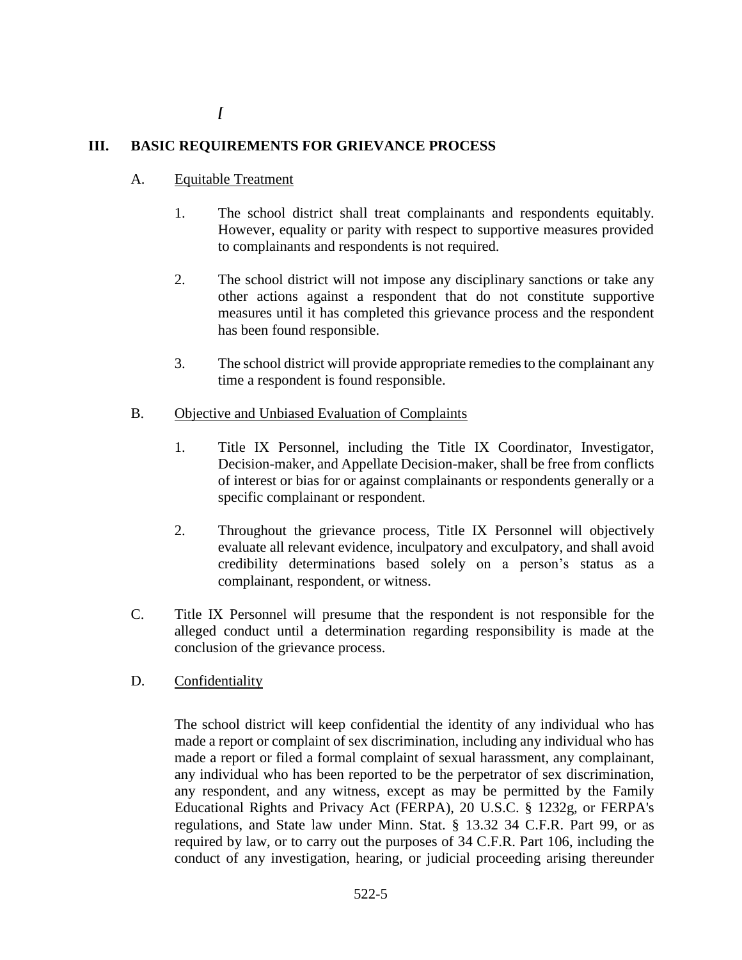# **III. BASIC REQUIREMENTS FOR GRIEVANCE PROCESS**

- A. Equitable Treatment
	- 1. The school district shall treat complainants and respondents equitably. However, equality or parity with respect to supportive measures provided to complainants and respondents is not required.
	- 2. The school district will not impose any disciplinary sanctions or take any other actions against a respondent that do not constitute supportive measures until it has completed this grievance process and the respondent has been found responsible.
	- 3. The school district will provide appropriate remedies to the complainant any time a respondent is found responsible.
- B. Objective and Unbiased Evaluation of Complaints
	- 1. Title IX Personnel, including the Title IX Coordinator, Investigator, Decision-maker, and Appellate Decision-maker, shall be free from conflicts of interest or bias for or against complainants or respondents generally or a specific complainant or respondent.
	- 2. Throughout the grievance process, Title IX Personnel will objectively evaluate all relevant evidence, inculpatory and exculpatory, and shall avoid credibility determinations based solely on a person's status as a complainant, respondent, or witness.
- C. Title IX Personnel will presume that the respondent is not responsible for the alleged conduct until a determination regarding responsibility is made at the conclusion of the grievance process.
- D. Confidentiality

The school district will keep confidential the identity of any individual who has made a report or complaint of sex discrimination, including any individual who has made a report or filed a formal complaint of sexual harassment, any complainant, any individual who has been reported to be the perpetrator of sex discrimination, any respondent, and any witness, except as may be permitted by the Family Educational Rights and Privacy Act (FERPA), 20 U.S.C. § 1232g, or FERPA's regulations, and State law under Minn. Stat. § 13.32 34 C.F.R. Part 99, or as required by law, or to carry out the purposes of 34 C.F.R. Part 106, including the conduct of any investigation, hearing, or judicial proceeding arising thereunder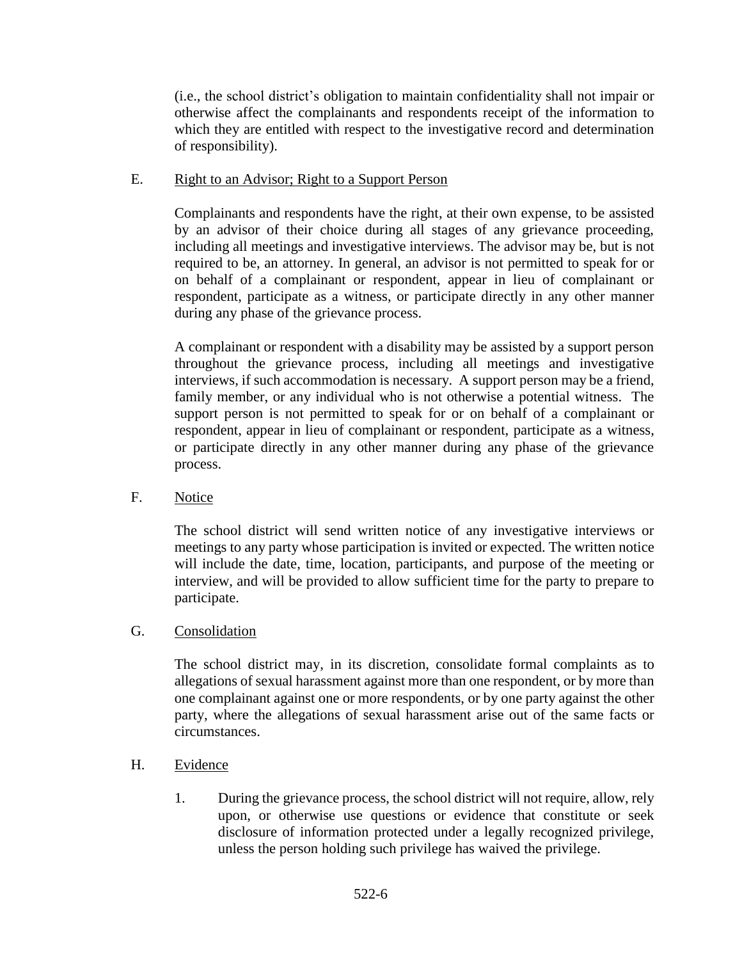(i.e., the school district's obligation to maintain confidentiality shall not impair or otherwise affect the complainants and respondents receipt of the information to which they are entitled with respect to the investigative record and determination of responsibility).

#### E. Right to an Advisor; Right to a Support Person

Complainants and respondents have the right, at their own expense, to be assisted by an advisor of their choice during all stages of any grievance proceeding, including all meetings and investigative interviews. The advisor may be, but is not required to be, an attorney. In general, an advisor is not permitted to speak for or on behalf of a complainant or respondent, appear in lieu of complainant or respondent, participate as a witness, or participate directly in any other manner during any phase of the grievance process.

A complainant or respondent with a disability may be assisted by a support person throughout the grievance process, including all meetings and investigative interviews, if such accommodation is necessary. A support person may be a friend, family member, or any individual who is not otherwise a potential witness. The support person is not permitted to speak for or on behalf of a complainant or respondent, appear in lieu of complainant or respondent, participate as a witness, or participate directly in any other manner during any phase of the grievance process.

F. Notice

The school district will send written notice of any investigative interviews or meetings to any party whose participation is invited or expected. The written notice will include the date, time, location, participants, and purpose of the meeting or interview, and will be provided to allow sufficient time for the party to prepare to participate.

### G. Consolidation

The school district may, in its discretion, consolidate formal complaints as to allegations of sexual harassment against more than one respondent, or by more than one complainant against one or more respondents, or by one party against the other party, where the allegations of sexual harassment arise out of the same facts or circumstances.

- H. Evidence
	- 1. During the grievance process, the school district will not require, allow, rely upon, or otherwise use questions or evidence that constitute or seek disclosure of information protected under a legally recognized privilege, unless the person holding such privilege has waived the privilege.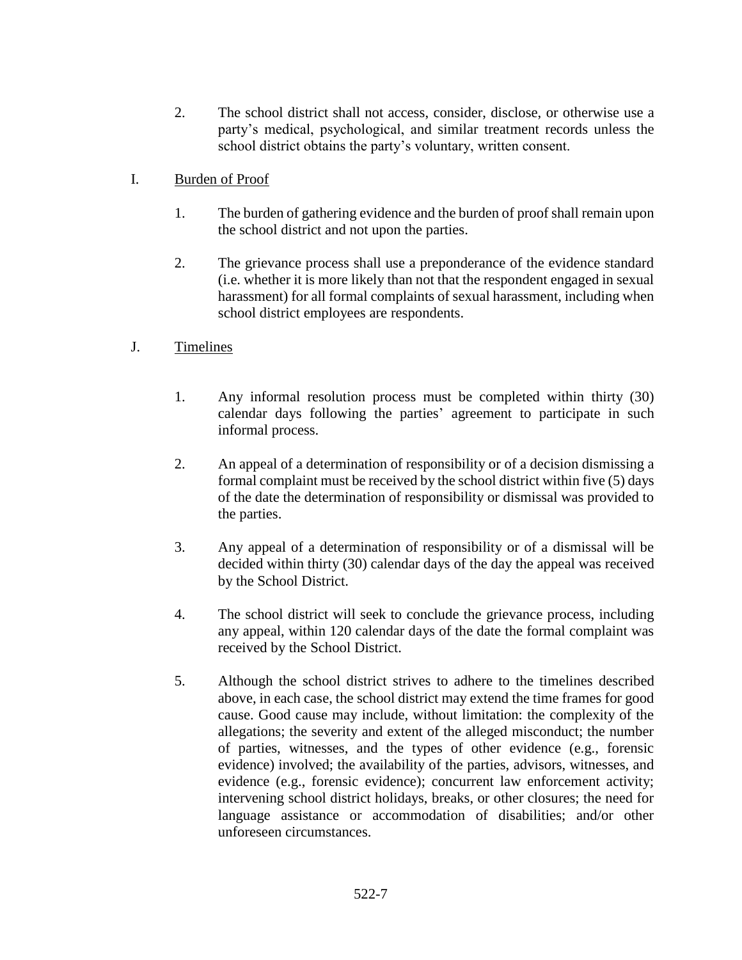- 2. The school district shall not access, consider, disclose, or otherwise use a party's medical, psychological, and similar treatment records unless the school district obtains the party's voluntary, written consent.
- I. Burden of Proof
	- 1. The burden of gathering evidence and the burden of proof shall remain upon the school district and not upon the parties.
	- 2. The grievance process shall use a preponderance of the evidence standard (i.e. whether it is more likely than not that the respondent engaged in sexual harassment) for all formal complaints of sexual harassment, including when school district employees are respondents.
- J. Timelines
	- 1. Any informal resolution process must be completed within thirty (30) calendar days following the parties' agreement to participate in such informal process.
	- 2. An appeal of a determination of responsibility or of a decision dismissing a formal complaint must be received by the school district within five (5) days of the date the determination of responsibility or dismissal was provided to the parties.
	- 3. Any appeal of a determination of responsibility or of a dismissal will be decided within thirty (30) calendar days of the day the appeal was received by the School District.
	- 4. The school district will seek to conclude the grievance process, including any appeal, within 120 calendar days of the date the formal complaint was received by the School District.
	- 5. Although the school district strives to adhere to the timelines described above, in each case, the school district may extend the time frames for good cause. Good cause may include, without limitation: the complexity of the allegations; the severity and extent of the alleged misconduct; the number of parties, witnesses, and the types of other evidence (e.g., forensic evidence) involved; the availability of the parties, advisors, witnesses, and evidence (e.g., forensic evidence); concurrent law enforcement activity; intervening school district holidays, breaks, or other closures; the need for language assistance or accommodation of disabilities; and/or other unforeseen circumstances.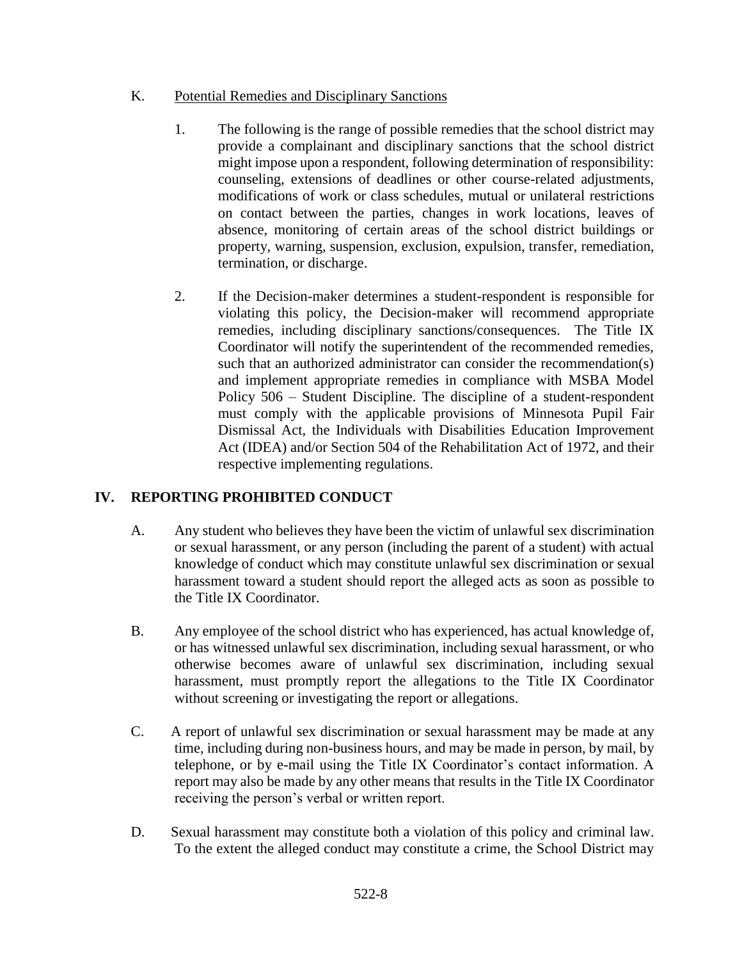### K. Potential Remedies and Disciplinary Sanctions

- 1. The following is the range of possible remedies that the school district may provide a complainant and disciplinary sanctions that the school district might impose upon a respondent, following determination of responsibility: counseling, extensions of deadlines or other course-related adjustments, modifications of work or class schedules, mutual or unilateral restrictions on contact between the parties, changes in work locations, leaves of absence, monitoring of certain areas of the school district buildings or property, warning, suspension, exclusion, expulsion, transfer, remediation, termination, or discharge.
- 2. If the Decision-maker determines a student-respondent is responsible for violating this policy, the Decision-maker will recommend appropriate remedies, including disciplinary sanctions/consequences. The Title IX Coordinator will notify the superintendent of the recommended remedies, such that an authorized administrator can consider the recommendation(s) and implement appropriate remedies in compliance with MSBA Model Policy 506 – Student Discipline. The discipline of a student-respondent must comply with the applicable provisions of Minnesota Pupil Fair Dismissal Act, the Individuals with Disabilities Education Improvement Act (IDEA) and/or Section 504 of the Rehabilitation Act of 1972, and their respective implementing regulations.

# **IV. REPORTING PROHIBITED CONDUCT**

- A. Any student who believes they have been the victim of unlawful sex discrimination or sexual harassment, or any person (including the parent of a student) with actual knowledge of conduct which may constitute unlawful sex discrimination or sexual harassment toward a student should report the alleged acts as soon as possible to the Title IX Coordinator.
- B. Any employee of the school district who has experienced, has actual knowledge of, or has witnessed unlawful sex discrimination, including sexual harassment, or who otherwise becomes aware of unlawful sex discrimination, including sexual harassment, must promptly report the allegations to the Title IX Coordinator without screening or investigating the report or allegations.
- C. A report of unlawful sex discrimination or sexual harassment may be made at any time, including during non-business hours, and may be made in person, by mail, by telephone, or by e-mail using the Title IX Coordinator's contact information. A report may also be made by any other means that results in the Title IX Coordinator receiving the person's verbal or written report.
- D. Sexual harassment may constitute both a violation of this policy and criminal law. To the extent the alleged conduct may constitute a crime, the School District may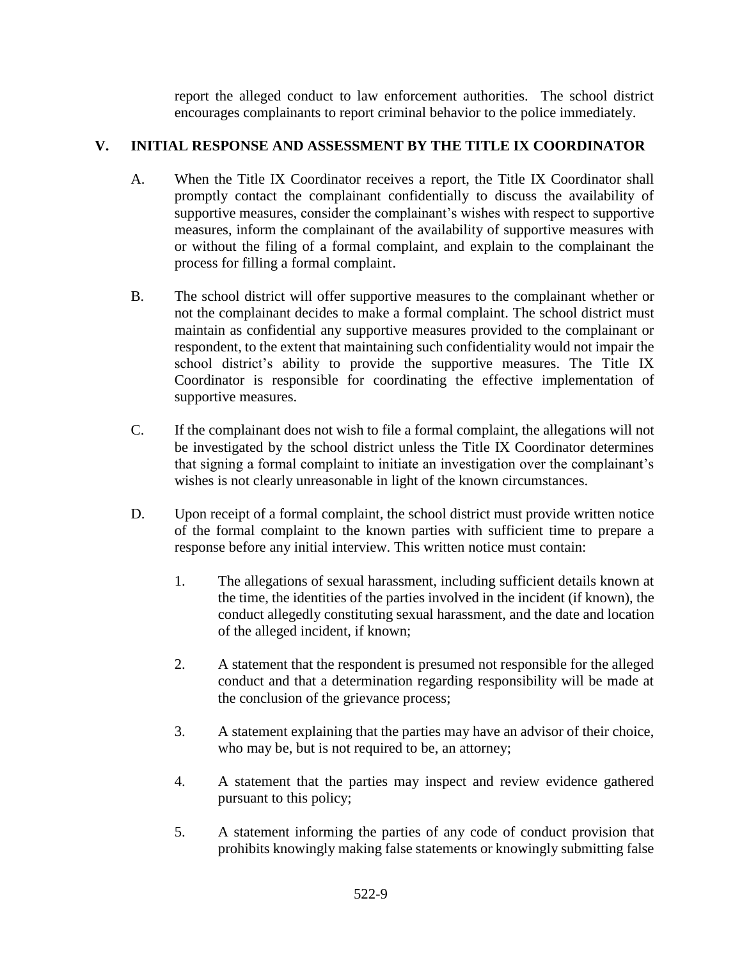report the alleged conduct to law enforcement authorities. The school district encourages complainants to report criminal behavior to the police immediately.

### **V. INITIAL RESPONSE AND ASSESSMENT BY THE TITLE IX COORDINATOR**

- A. When the Title IX Coordinator receives a report, the Title IX Coordinator shall promptly contact the complainant confidentially to discuss the availability of supportive measures, consider the complainant's wishes with respect to supportive measures, inform the complainant of the availability of supportive measures with or without the filing of a formal complaint, and explain to the complainant the process for filling a formal complaint.
- B. The school district will offer supportive measures to the complainant whether or not the complainant decides to make a formal complaint. The school district must maintain as confidential any supportive measures provided to the complainant or respondent, to the extent that maintaining such confidentiality would not impair the school district's ability to provide the supportive measures. The Title IX Coordinator is responsible for coordinating the effective implementation of supportive measures.
- C. If the complainant does not wish to file a formal complaint, the allegations will not be investigated by the school district unless the Title IX Coordinator determines that signing a formal complaint to initiate an investigation over the complainant's wishes is not clearly unreasonable in light of the known circumstances.
- D. Upon receipt of a formal complaint, the school district must provide written notice of the formal complaint to the known parties with sufficient time to prepare a response before any initial interview. This written notice must contain:
	- 1. The allegations of sexual harassment, including sufficient details known at the time, the identities of the parties involved in the incident (if known), the conduct allegedly constituting sexual harassment, and the date and location of the alleged incident, if known;
	- 2. A statement that the respondent is presumed not responsible for the alleged conduct and that a determination regarding responsibility will be made at the conclusion of the grievance process;
	- 3. A statement explaining that the parties may have an advisor of their choice, who may be, but is not required to be, an attorney;
	- 4. A statement that the parties may inspect and review evidence gathered pursuant to this policy;
	- 5. A statement informing the parties of any code of conduct provision that prohibits knowingly making false statements or knowingly submitting false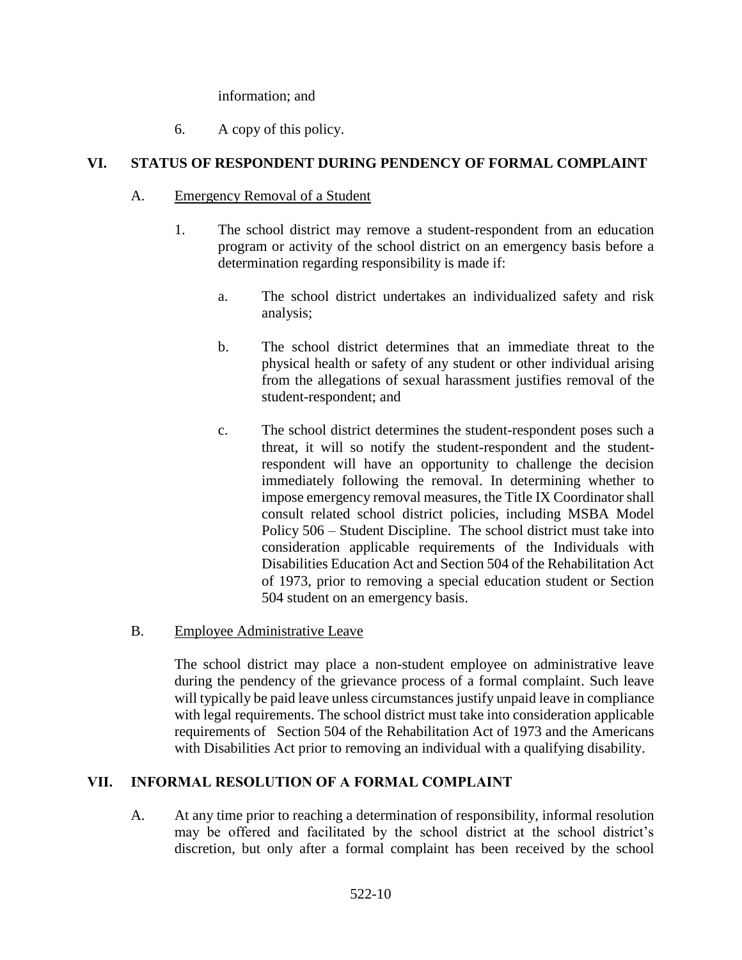information; and

6. A copy of this policy.

# **VI. STATUS OF RESPONDENT DURING PENDENCY OF FORMAL COMPLAINT**

- A. Emergency Removal of a Student
	- 1. The school district may remove a student-respondent from an education program or activity of the school district on an emergency basis before a determination regarding responsibility is made if:
		- a. The school district undertakes an individualized safety and risk analysis;
		- b. The school district determines that an immediate threat to the physical health or safety of any student or other individual arising from the allegations of sexual harassment justifies removal of the student-respondent; and
		- c. The school district determines the student-respondent poses such a threat, it will so notify the student-respondent and the studentrespondent will have an opportunity to challenge the decision immediately following the removal. In determining whether to impose emergency removal measures, the Title IX Coordinator shall consult related school district policies, including MSBA Model Policy 506 – Student Discipline. The school district must take into consideration applicable requirements of the Individuals with Disabilities Education Act and Section 504 of the Rehabilitation Act of 1973, prior to removing a special education student or Section 504 student on an emergency basis.
- B. Employee Administrative Leave

The school district may place a non-student employee on administrative leave during the pendency of the grievance process of a formal complaint. Such leave will typically be paid leave unless circumstances justify unpaid leave in compliance with legal requirements. The school district must take into consideration applicable requirements of Section 504 of the Rehabilitation Act of 1973 and the Americans with Disabilities Act prior to removing an individual with a qualifying disability.

# **VII. INFORMAL RESOLUTION OF A FORMAL COMPLAINT**

A. At any time prior to reaching a determination of responsibility, informal resolution may be offered and facilitated by the school district at the school district's discretion, but only after a formal complaint has been received by the school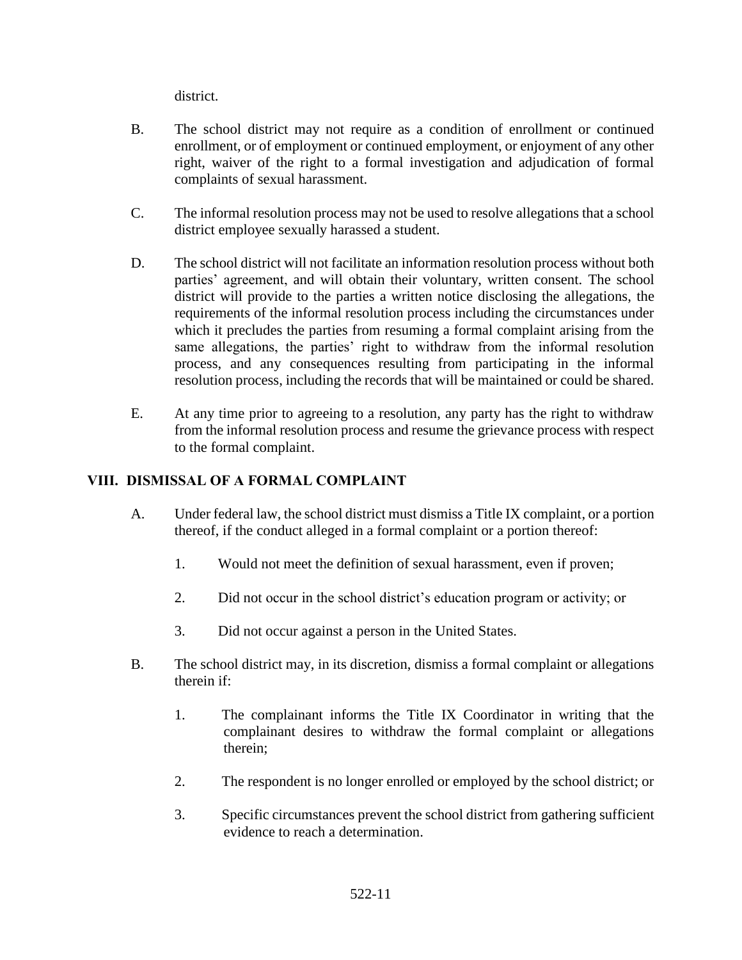district.

- B. The school district may not require as a condition of enrollment or continued enrollment, or of employment or continued employment, or enjoyment of any other right, waiver of the right to a formal investigation and adjudication of formal complaints of sexual harassment.
- C. The informal resolution process may not be used to resolve allegations that a school district employee sexually harassed a student.
- D. The school district will not facilitate an information resolution process without both parties' agreement, and will obtain their voluntary, written consent. The school district will provide to the parties a written notice disclosing the allegations, the requirements of the informal resolution process including the circumstances under which it precludes the parties from resuming a formal complaint arising from the same allegations, the parties' right to withdraw from the informal resolution process, and any consequences resulting from participating in the informal resolution process, including the records that will be maintained or could be shared.
- E. At any time prior to agreeing to a resolution, any party has the right to withdraw from the informal resolution process and resume the grievance process with respect to the formal complaint.

# **VIII. DISMISSAL OF A FORMAL COMPLAINT**

- A. Under federal law, the school district must dismiss a Title IX complaint, or a portion thereof, if the conduct alleged in a formal complaint or a portion thereof:
	- 1. Would not meet the definition of sexual harassment, even if proven;
	- 2. Did not occur in the school district's education program or activity; or
	- 3. Did not occur against a person in the United States.
- B. The school district may, in its discretion, dismiss a formal complaint or allegations therein if:
	- 1. The complainant informs the Title IX Coordinator in writing that the complainant desires to withdraw the formal complaint or allegations therein;
	- 2. The respondent is no longer enrolled or employed by the school district; or
	- 3. Specific circumstances prevent the school district from gathering sufficient evidence to reach a determination.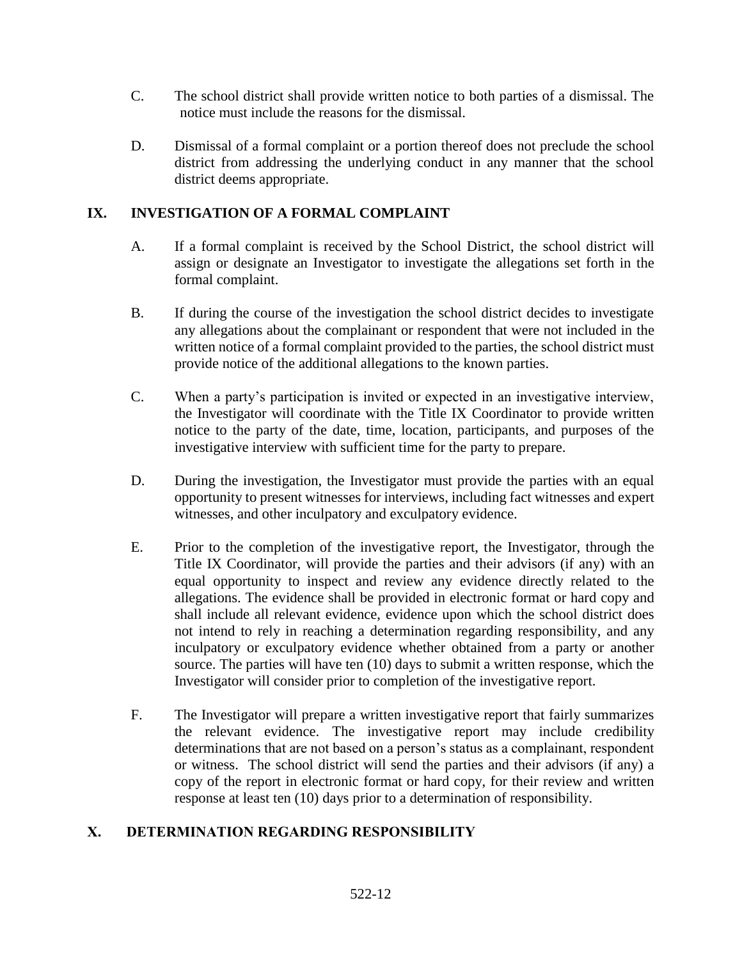- C. The school district shall provide written notice to both parties of a dismissal. The notice must include the reasons for the dismissal.
- D. Dismissal of a formal complaint or a portion thereof does not preclude the school district from addressing the underlying conduct in any manner that the school district deems appropriate.

### **IX. INVESTIGATION OF A FORMAL COMPLAINT**

- A. If a formal complaint is received by the School District, the school district will assign or designate an Investigator to investigate the allegations set forth in the formal complaint.
- B. If during the course of the investigation the school district decides to investigate any allegations about the complainant or respondent that were not included in the written notice of a formal complaint provided to the parties, the school district must provide notice of the additional allegations to the known parties.
- C. When a party's participation is invited or expected in an investigative interview, the Investigator will coordinate with the Title IX Coordinator to provide written notice to the party of the date, time, location, participants, and purposes of the investigative interview with sufficient time for the party to prepare.
- D. During the investigation, the Investigator must provide the parties with an equal opportunity to present witnesses for interviews, including fact witnesses and expert witnesses, and other inculpatory and exculpatory evidence.
- E. Prior to the completion of the investigative report, the Investigator, through the Title IX Coordinator, will provide the parties and their advisors (if any) with an equal opportunity to inspect and review any evidence directly related to the allegations. The evidence shall be provided in electronic format or hard copy and shall include all relevant evidence, evidence upon which the school district does not intend to rely in reaching a determination regarding responsibility, and any inculpatory or exculpatory evidence whether obtained from a party or another source. The parties will have ten (10) days to submit a written response, which the Investigator will consider prior to completion of the investigative report.
- F. The Investigator will prepare a written investigative report that fairly summarizes the relevant evidence. The investigative report may include credibility determinations that are not based on a person's status as a complainant, respondent or witness. The school district will send the parties and their advisors (if any) a copy of the report in electronic format or hard copy, for their review and written response at least ten (10) days prior to a determination of responsibility.

# **X. DETERMINATION REGARDING RESPONSIBILITY**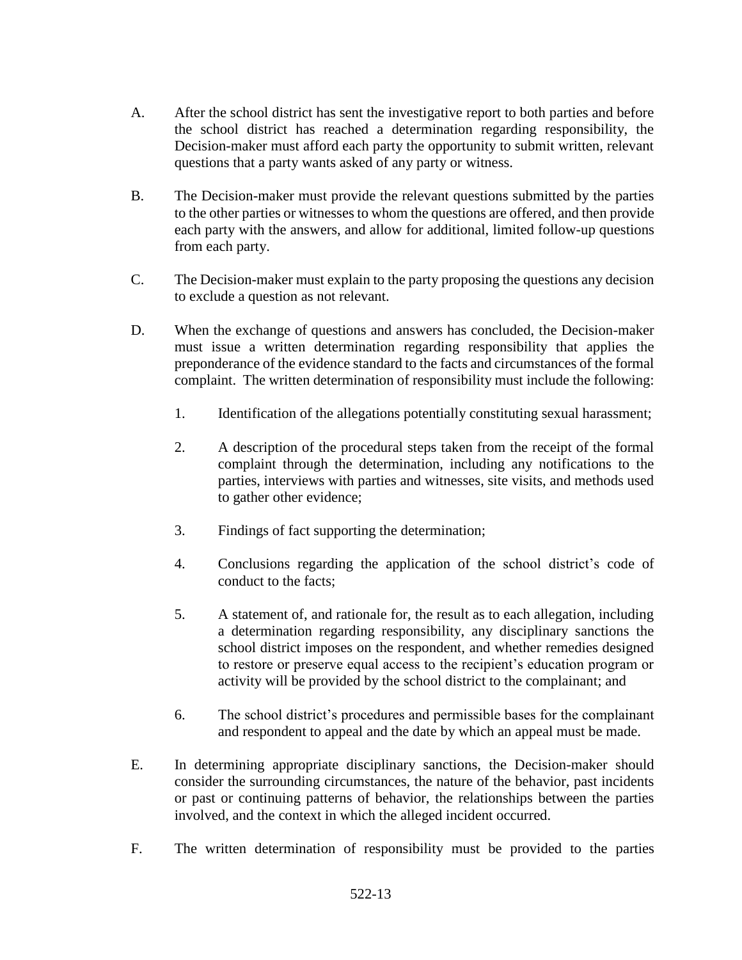- A. After the school district has sent the investigative report to both parties and before the school district has reached a determination regarding responsibility, the Decision-maker must afford each party the opportunity to submit written, relevant questions that a party wants asked of any party or witness.
- B. The Decision-maker must provide the relevant questions submitted by the parties to the other parties or witnesses to whom the questions are offered, and then provide each party with the answers, and allow for additional, limited follow-up questions from each party.
- C. The Decision-maker must explain to the party proposing the questions any decision to exclude a question as not relevant.
- D. When the exchange of questions and answers has concluded, the Decision-maker must issue a written determination regarding responsibility that applies the preponderance of the evidence standard to the facts and circumstances of the formal complaint. The written determination of responsibility must include the following:
	- 1. Identification of the allegations potentially constituting sexual harassment;
	- 2. A description of the procedural steps taken from the receipt of the formal complaint through the determination, including any notifications to the parties, interviews with parties and witnesses, site visits, and methods used to gather other evidence;
	- 3. Findings of fact supporting the determination;
	- 4. Conclusions regarding the application of the school district's code of conduct to the facts;
	- 5. A statement of, and rationale for, the result as to each allegation, including a determination regarding responsibility, any disciplinary sanctions the school district imposes on the respondent, and whether remedies designed to restore or preserve equal access to the recipient's education program or activity will be provided by the school district to the complainant; and
	- 6. The school district's procedures and permissible bases for the complainant and respondent to appeal and the date by which an appeal must be made.
- E. In determining appropriate disciplinary sanctions, the Decision-maker should consider the surrounding circumstances, the nature of the behavior, past incidents or past or continuing patterns of behavior, the relationships between the parties involved, and the context in which the alleged incident occurred.
- F. The written determination of responsibility must be provided to the parties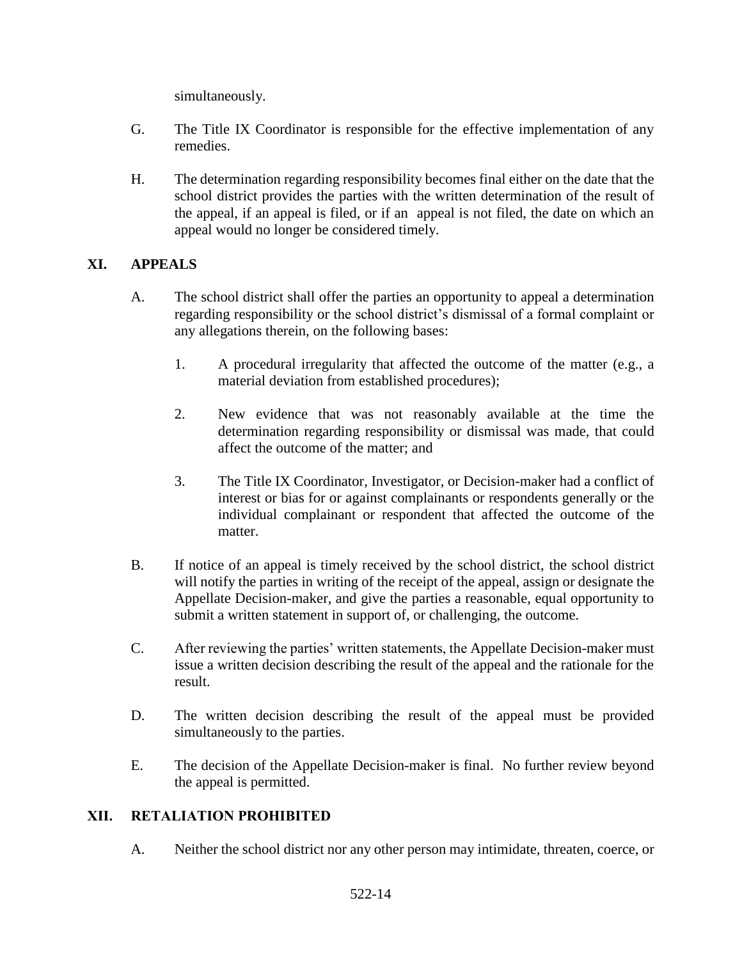simultaneously.

- G. The Title IX Coordinator is responsible for the effective implementation of any remedies.
- H. The determination regarding responsibility becomes final either on the date that the school district provides the parties with the written determination of the result of the appeal, if an appeal is filed, or if an appeal is not filed, the date on which an appeal would no longer be considered timely.

### **XI. APPEALS**

- A. The school district shall offer the parties an opportunity to appeal a determination regarding responsibility or the school district's dismissal of a formal complaint or any allegations therein, on the following bases:
	- 1. A procedural irregularity that affected the outcome of the matter (e.g., a material deviation from established procedures);
	- 2. New evidence that was not reasonably available at the time the determination regarding responsibility or dismissal was made, that could affect the outcome of the matter; and
	- 3. The Title IX Coordinator, Investigator, or Decision-maker had a conflict of interest or bias for or against complainants or respondents generally or the individual complainant or respondent that affected the outcome of the matter.
- B. If notice of an appeal is timely received by the school district, the school district will notify the parties in writing of the receipt of the appeal, assign or designate the Appellate Decision-maker, and give the parties a reasonable, equal opportunity to submit a written statement in support of, or challenging, the outcome.
- C. After reviewing the parties' written statements, the Appellate Decision-maker must issue a written decision describing the result of the appeal and the rationale for the result.
- D. The written decision describing the result of the appeal must be provided simultaneously to the parties.
- E. The decision of the Appellate Decision-maker is final. No further review beyond the appeal is permitted.

### **XII. RETALIATION PROHIBITED**

A. Neither the school district nor any other person may intimidate, threaten, coerce, or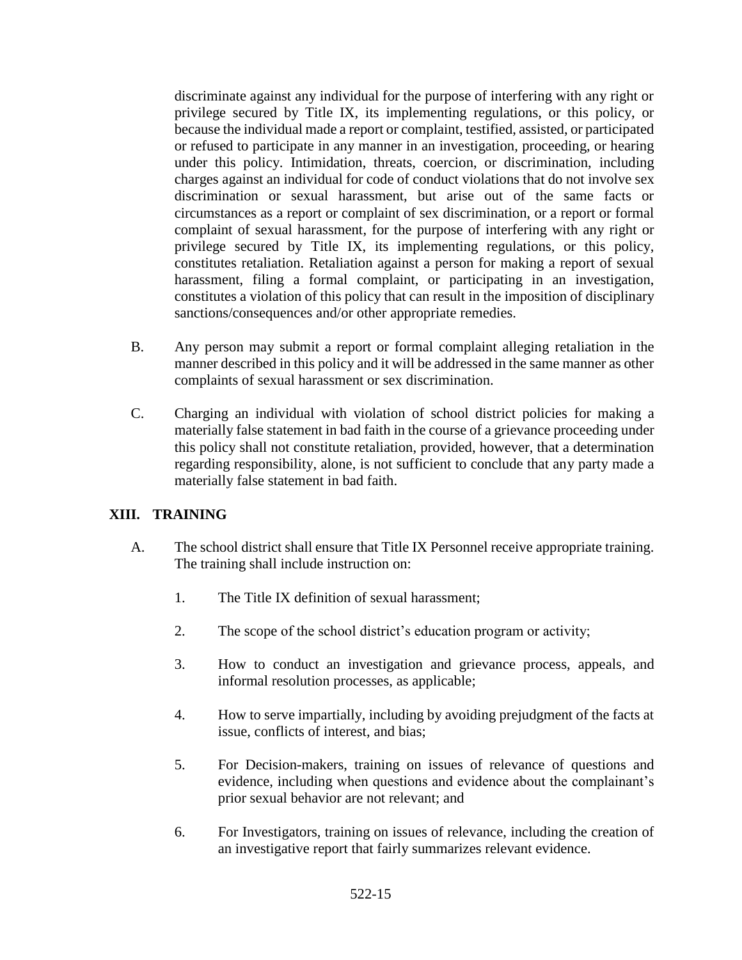discriminate against any individual for the purpose of interfering with any right or privilege secured by Title IX, its implementing regulations, or this policy, or because the individual made a report or complaint, testified, assisted, or participated or refused to participate in any manner in an investigation, proceeding, or hearing under this policy. Intimidation, threats, coercion, or discrimination, including charges against an individual for code of conduct violations that do not involve sex discrimination or sexual harassment, but arise out of the same facts or circumstances as a report or complaint of sex discrimination, or a report or formal complaint of sexual harassment, for the purpose of interfering with any right or privilege secured by Title IX, its implementing regulations, or this policy, constitutes retaliation. Retaliation against a person for making a report of sexual harassment, filing a formal complaint, or participating in an investigation, constitutes a violation of this policy that can result in the imposition of disciplinary sanctions/consequences and/or other appropriate remedies.

- B. Any person may submit a report or formal complaint alleging retaliation in the manner described in this policy and it will be addressed in the same manner as other complaints of sexual harassment or sex discrimination.
- C. Charging an individual with violation of school district policies for making a materially false statement in bad faith in the course of a grievance proceeding under this policy shall not constitute retaliation, provided, however, that a determination regarding responsibility, alone, is not sufficient to conclude that any party made a materially false statement in bad faith.

### **XIII. TRAINING**

- A. The school district shall ensure that Title IX Personnel receive appropriate training. The training shall include instruction on:
	- 1. The Title IX definition of sexual harassment;
	- 2. The scope of the school district's education program or activity;
	- 3. How to conduct an investigation and grievance process, appeals, and informal resolution processes, as applicable;
	- 4. How to serve impartially, including by avoiding prejudgment of the facts at issue, conflicts of interest, and bias;
	- 5. For Decision-makers, training on issues of relevance of questions and evidence, including when questions and evidence about the complainant's prior sexual behavior are not relevant; and
	- 6. For Investigators, training on issues of relevance, including the creation of an investigative report that fairly summarizes relevant evidence.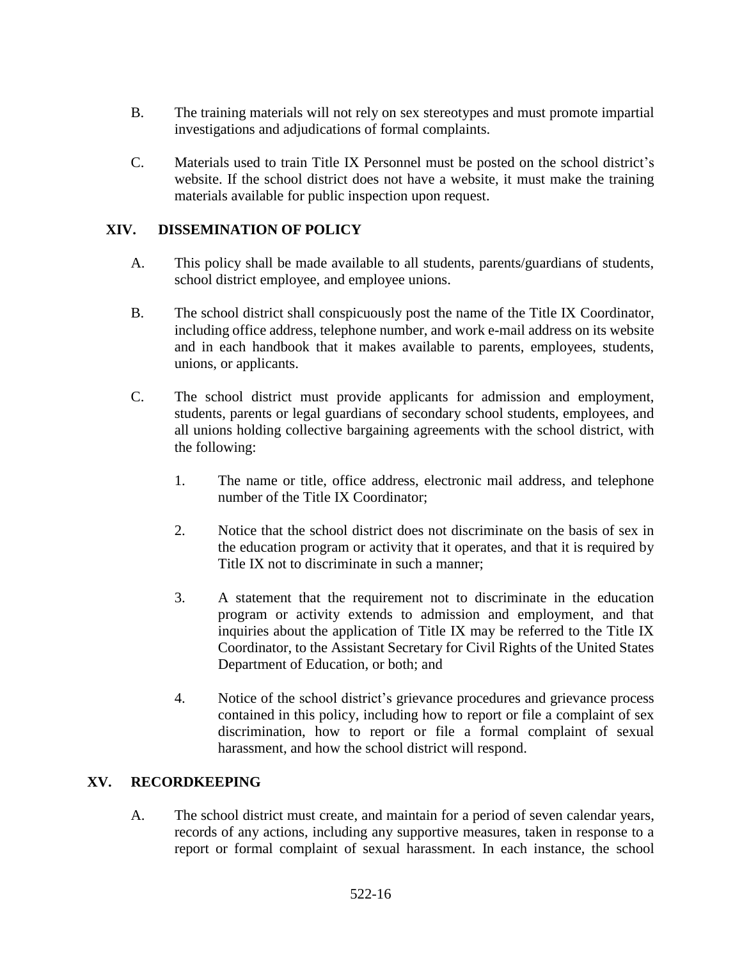- B. The training materials will not rely on sex stereotypes and must promote impartial investigations and adjudications of formal complaints.
- C. Materials used to train Title IX Personnel must be posted on the school district's website. If the school district does not have a website, it must make the training materials available for public inspection upon request.

### **XIV. DISSEMINATION OF POLICY**

- A. This policy shall be made available to all students, parents/guardians of students, school district employee, and employee unions.
- B. The school district shall conspicuously post the name of the Title IX Coordinator, including office address, telephone number, and work e-mail address on its website and in each handbook that it makes available to parents, employees, students, unions, or applicants.
- C. The school district must provide applicants for admission and employment, students, parents or legal guardians of secondary school students, employees, and all unions holding collective bargaining agreements with the school district, with the following:
	- 1. The name or title, office address, electronic mail address, and telephone number of the Title IX Coordinator;
	- 2. Notice that the school district does not discriminate on the basis of sex in the education program or activity that it operates, and that it is required by Title IX not to discriminate in such a manner;
	- 3. A statement that the requirement not to discriminate in the education program or activity extends to admission and employment, and that inquiries about the application of Title IX may be referred to the Title IX Coordinator, to the Assistant Secretary for Civil Rights of the United States Department of Education, or both; and
	- 4. Notice of the school district's grievance procedures and grievance process contained in this policy, including how to report or file a complaint of sex discrimination, how to report or file a formal complaint of sexual harassment, and how the school district will respond.

### **XV. RECORDKEEPING**

A. The school district must create, and maintain for a period of seven calendar years, records of any actions, including any supportive measures, taken in response to a report or formal complaint of sexual harassment. In each instance, the school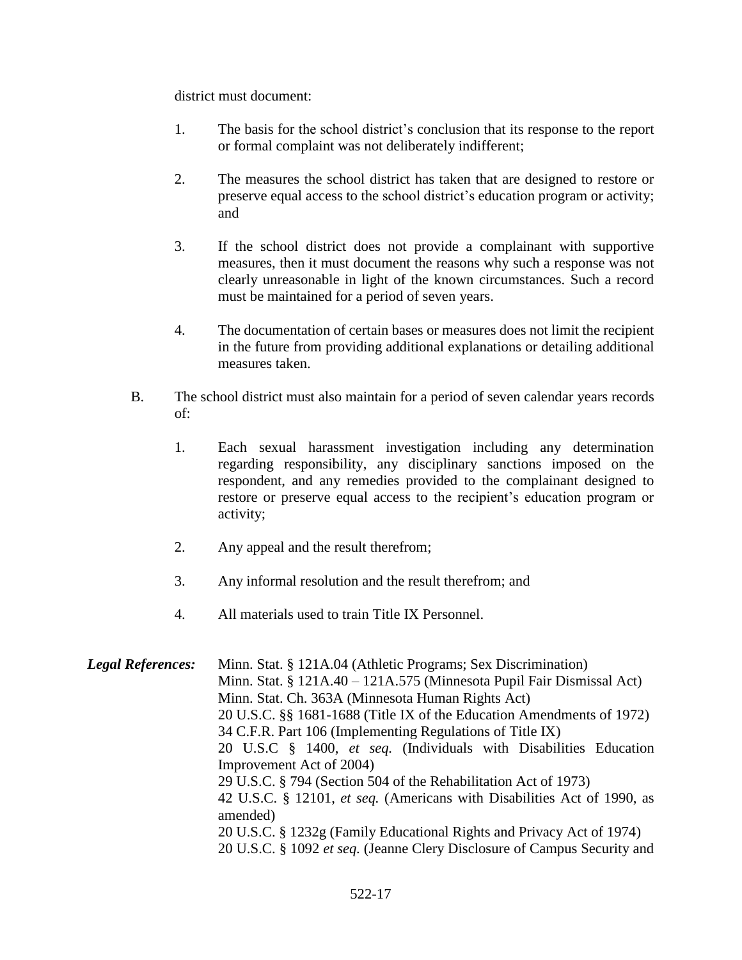district must document:

- 1. The basis for the school district's conclusion that its response to the report or formal complaint was not deliberately indifferent;
- 2. The measures the school district has taken that are designed to restore or preserve equal access to the school district's education program or activity; and
- 3. If the school district does not provide a complainant with supportive measures, then it must document the reasons why such a response was not clearly unreasonable in light of the known circumstances. Such a record must be maintained for a period of seven years.
- 4. The documentation of certain bases or measures does not limit the recipient in the future from providing additional explanations or detailing additional measures taken.
- B. The school district must also maintain for a period of seven calendar years records of:
	- 1. Each sexual harassment investigation including any determination regarding responsibility, any disciplinary sanctions imposed on the respondent, and any remedies provided to the complainant designed to restore or preserve equal access to the recipient's education program or activity;
	- 2. Any appeal and the result therefrom;
	- 3. Any informal resolution and the result therefrom; and
	- 4. All materials used to train Title IX Personnel.

| <b>Legal References:</b> | Minn. Stat. § 121A.04 (Athletic Programs; Sex Discrimination)            |
|--------------------------|--------------------------------------------------------------------------|
|                          | Minn. Stat. $\S$ 121A.40 – 121A.575 (Minnesota Pupil Fair Dismissal Act) |
|                          | Minn. Stat. Ch. 363A (Minnesota Human Rights Act)                        |
|                          | 20 U.S.C. §§ 1681-1688 (Title IX of the Education Amendments of 1972)    |
|                          | 34 C.F.R. Part 106 (Implementing Regulations of Title IX)                |
|                          | 20 U.S.C § 1400, et seq. (Individuals with Disabilities Education        |
|                          | Improvement Act of 2004)                                                 |
|                          | 29 U.S.C. § 794 (Section 504 of the Rehabilitation Act of 1973)          |
|                          | 42 U.S.C. § 12101, et seq. (Americans with Disabilities Act of 1990, as  |
|                          | amended)                                                                 |
|                          | 20 U.S.C. § 1232g (Family Educational Rights and Privacy Act of 1974)    |
|                          | 20 U.S.C. § 1092 et seq. (Jeanne Clery Disclosure of Campus Security and |